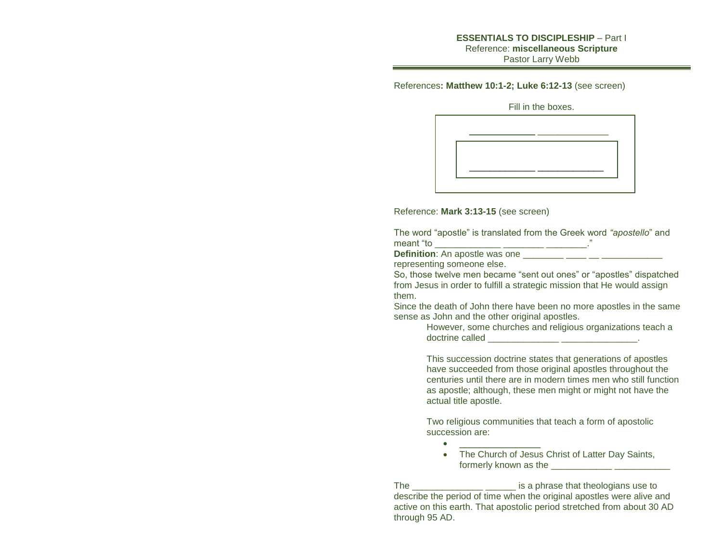## **ESSENTIALS TO DISCIPLESHIP** – Part I Reference: **miscellaneous Scripture** Pastor Larry Webb

References**: Matthew 10:1-2; Luke 6:12-13** (see screen)

Fill in the boxes.

|  | _____________<br>____ |  |
|--|-----------------------|--|
|  |                       |  |
|  |                       |  |
|  |                       |  |

Reference: **Mark 3:13-15** (see screen)

The word "apostle" is translated from the Greek word *"apostello*" and meant "to \_\_\_\_\_\_\_\_\_\_\_\_\_ \_\_\_\_\_\_\_\_ \_\_\_\_\_\_\_\_."

**Definition**: An apostle was one

 $\bullet$  .  $\_\_$ 

representing someone else.

So, those twelve men became "sent out ones" or "apostles" dispatched from Jesus in order to fulfill a strategic mission that He would assign them.

Since the death of John there have been no more apostles in the same sense as John and the other original apostles.

However, some churches and religious organizations teach a doctrine called \_\_\_\_\_\_\_\_\_\_\_\_\_\_ \_\_\_\_\_\_\_\_\_\_\_\_\_\_\_.

This succession doctrine states that generations of apostles have succeeded from those original apostles throughout the centuries until there are in modern times men who still function as apostle; although, these men might or might not have the actual title apostle.

Two religious communities that teach a form of apostolic succession are:

• The Church of Jesus Christ of Latter Day Saints, formerly known as the **EXALLA** 

The \_\_\_\_\_\_\_\_\_\_\_\_\_\_\_\_\_\_\_\_\_\_\_\_\_ is a phrase that theologians use to describe the period of time when the original apostles were alive and active on this earth. That apostolic period stretched from about 30 AD through 95 AD.